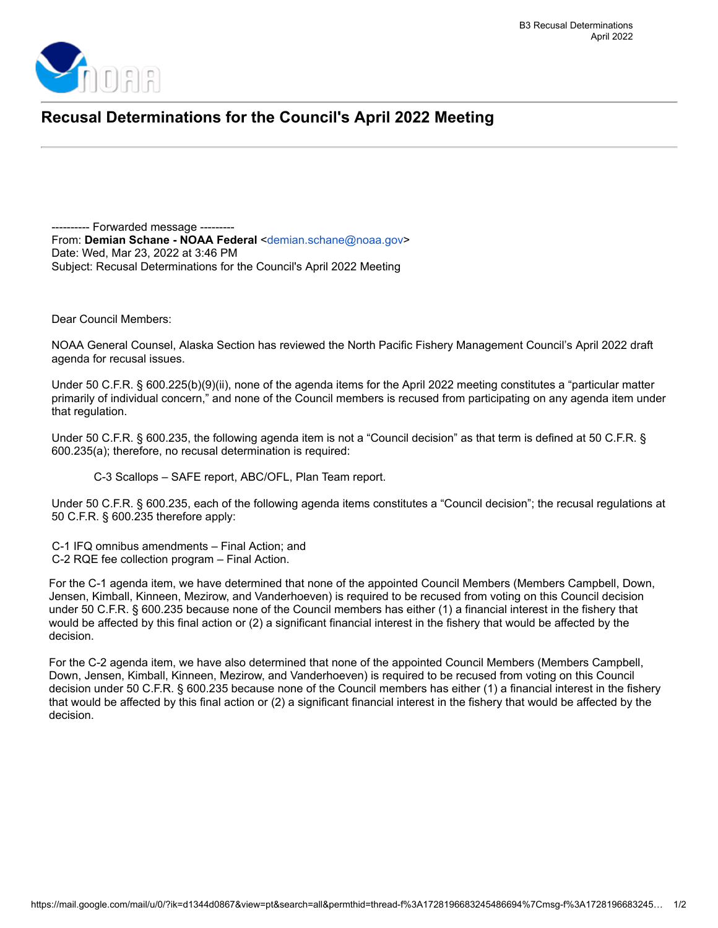

## **Recusal Determinations for the Council's April 2022 Meeting**

---------- Forwarded message --------- From: **Demian Schane - NOAA Federal** <[demian.schane@noaa.gov](mailto:demian.schane@noaa.gov)> Date: Wed, Mar 23, 2022 at 3:46 PM Subject: Recusal Determinations for the Council's April 2022 Meeting

Dear Council Members:

NOAA General Counsel, Alaska Section has reviewed the North Pacific Fishery Management Council's April 2022 draft agenda for recusal issues.

Under 50 C.F.R. § 600.225(b)(9)(ii), none of the agenda items for the April 2022 meeting constitutes a "particular matter primarily of individual concern," and none of the Council members is recused from participating on any agenda item under that regulation.

Under 50 C.F.R. § 600.235, the following agenda item is not a "Council decision" as that term is defined at 50 C.F.R. § 600.235(a); therefore, no recusal determination is required:

C-3 Scallops – SAFE report, ABC/OFL, Plan Team report.

Under 50 C.F.R. § 600.235, each of the following agenda items constitutes a "Council decision"; the recusal regulations at 50 C.F.R. § 600.235 therefore apply:

C-1 IFQ omnibus amendments – Final Action; and C-2 RQE fee collection program – Final Action.

For the C-1 agenda item, we have determined that none of the appointed Council Members (Members Campbell, Down, Jensen, Kimball, Kinneen, Mezirow, and Vanderhoeven) is required to be recused from voting on this Council decision under 50 C.F.R. § 600.235 because none of the Council members has either (1) a financial interest in the fishery that would be affected by this final action or (2) a significant financial interest in the fishery that would be affected by the decision.

For the C-2 agenda item, we have also determined that none of the appointed Council Members (Members Campbell, Down, Jensen, Kimball, Kinneen, Mezirow, and Vanderhoeven) is required to be recused from voting on this Council decision under 50 C.F.R. § 600.235 because none of the Council members has either (1) a financial interest in the fishery that would be affected by this final action or (2) a significant financial interest in the fishery that would be affected by the decision.